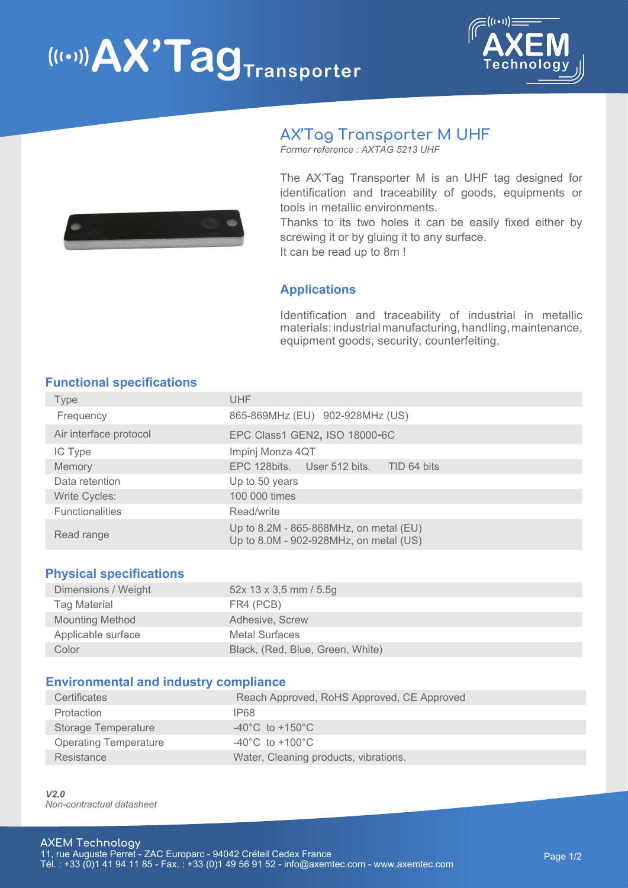# $\left(\left(\left(\cdot\right)\right)\right)$   $AX'Tag$  Transporter





## **AX'Tag Transporter M UHF**

*Former reference : AXTAG 5213 UHF* 

The AX'Tag Transporter M is an UHF tag designed for identification and traceability of goods, equipments or tools in metallic environments.

Thanks to its two holes it can be easily fixed either by screwing it or by gluing it to any surface. It can be read up to 8m !

## **Applications**

Identification and traceability of industrial in metallic materials: industrial manufacturing, handling, maintenance, equipment goods, security, counterfeiting.

### **Functional specifications**

| Type                   | UHF                                                                              |
|------------------------|----------------------------------------------------------------------------------|
| Frequency              | 865-869MHz (EU) 902-928MHz (US)                                                  |
| Air interface protocol | EPC Class1 GEN2, ISO 18000-6C                                                    |
| IC Type                | Impinj Monza 4QT                                                                 |
| Memory                 | EPC 128 bits. User 512 bits. TID 64 bits                                         |
| Data retention         | Up to 50 years                                                                   |
| <b>Write Cycles:</b>   | 100 000 times                                                                    |
| <b>Functionalities</b> | Read/write                                                                       |
| Read range             | Up to 8.2M - 865-868MHz, on metal (EU)<br>Up to 8.0M - 902-928MHz, on metal (US) |

#### **Physical specifications**

| Dimensions / Weight    | $52x$ 13 x 3,5 mm / 5.5g         |
|------------------------|----------------------------------|
| Tag Material           | FR4 (PCB)                        |
| <b>Mounting Method</b> | Adhesive, Screw                  |
| Applicable surface     | <b>Metal Surfaces</b>            |
| Color                  | Black, (Red, Blue, Green, White) |

#### **Environmental and industry compliance**

| Certificates                 | Reach Approved, RoHS Approved, CE Approved |
|------------------------------|--------------------------------------------|
| Protaction                   | IP68                                       |
| Storage Temperature          | $-40^{\circ}$ C to $+150^{\circ}$ C        |
| <b>Operating Temperature</b> | $-40^{\circ}$ C to $+100^{\circ}$ C        |
| Resistance                   | Water, Cleaning products, vibrations.      |

*V2.0 Non-contractual datasheet*